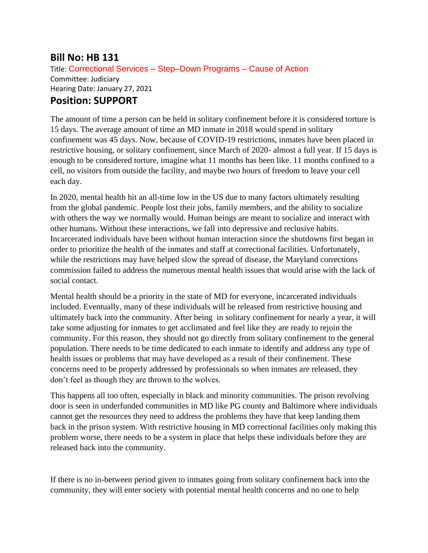## **Bill No: HB 131**

Title: Correctional Services – Step–Down Programs – Cause of Action Committee: Judiciary Hearing Date: January 27, 2021 **Position: SUPPORT**

The amount of time a person can be held in solitary confinement before it is considered torture is 15 days. The average amount of time an MD inmate in 2018 would spend in solitary confinement was 45 days. Now, because of COVID-19 restrictions, inmates have been placed in restrictive housing, or solitary confinement, since March of 2020- almost a full year. If 15 days is enough to be considered torture, imagine what 11 months has been like. 11 months confined to a cell, no visitors from outside the facility, and maybe two hours of freedom to leave your cell each day.

In 2020, mental health hit an all-time low in the US due to many factors ultimately resulting from the global pandemic. People lost their jobs, family members, and the ability to socialize with others the way we normally would. Human beings are meant to socialize and interact with other humans. Without these interactions, we fall into depressive and reclusive habits. Incarcerated individuals have been without human interaction since the shutdowns first began in order to prioritize the health of the inmates and staff at correctional facilities. Unfortunately, while the restrictions may have helped slow the spread of disease, the Maryland corrections commission failed to address the numerous mental health issues that would arise with the lack of social contact.

Mental health should be a priority in the state of MD for everyone, incarcerated individuals included. Eventually, many of these individuals will be released from restrictive housing and ultimately back into the community. After being in solitary confinement for nearly a year, it will take some adjusting for inmates to get acclimated and feel like they are ready to rejoin the community. For this reason, they should not go directly from solitary confinement to the general population. There needs to be time dedicated to each inmate to identify and address any type of health issues or problems that may have developed as a result of their confinement. These concerns need to be properly addressed by professionals so when inmates are released, they don't feel as though they are thrown to the wolves.

This happens all too often, especially in black and minority communities. The prison revolving door is seen in underfunded communities in MD like PG county and Baltimore where individuals cannot get the resources they need to address the problems they have that keep landing them back in the prison system. With restrictive housing in MD correctional facilities only making this problem worse, there needs to be a system in place that helps these individuals before they are released back into the community.

If there is no in-between period given to inmates going from solitary confinement back into the community, they will enter society with potential mental health concerns and no one to help